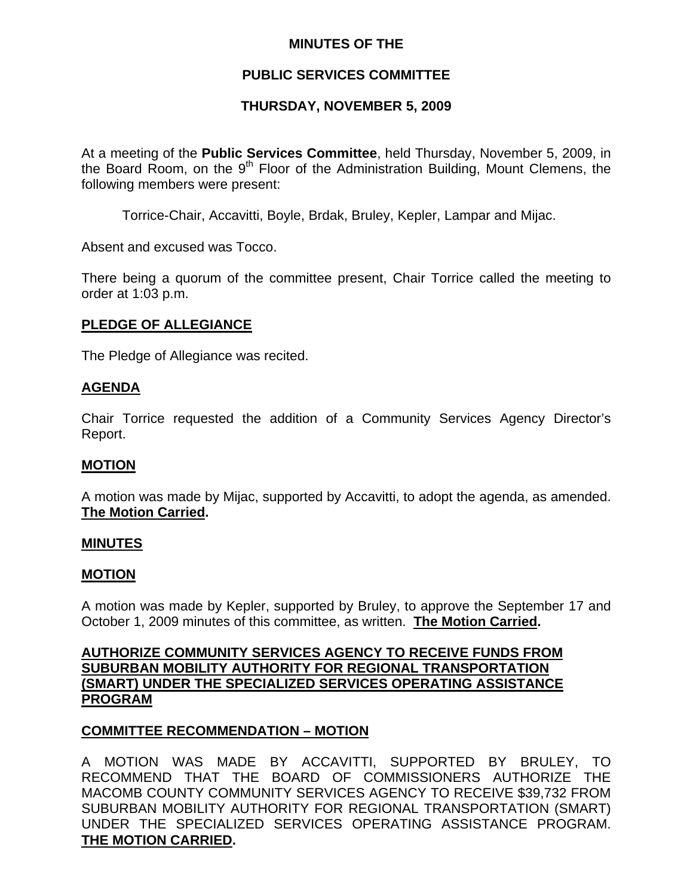# **MINUTES OF THE**

# **PUBLIC SERVICES COMMITTEE**

# **THURSDAY, NOVEMBER 5, 2009**

At a meeting of the **Public Services Committee**, held Thursday, November 5, 2009, in the Board Room, on the  $9<sup>th</sup>$  Floor of the Administration Building, Mount Clemens, the following members were present:

Torrice-Chair, Accavitti, Boyle, Brdak, Bruley, Kepler, Lampar and Mijac.

Absent and excused was Tocco.

There being a quorum of the committee present, Chair Torrice called the meeting to order at 1:03 p.m.

## **PLEDGE OF ALLEGIANCE**

The Pledge of Allegiance was recited.

## **AGENDA**

Chair Torrice requested the addition of a Community Services Agency Director's Report.

## **MOTION**

A motion was made by Mijac, supported by Accavitti, to adopt the agenda, as amended. **The Motion Carried.** 

## **MINUTES**

## **MOTION**

A motion was made by Kepler, supported by Bruley, to approve the September 17 and October 1, 2009 minutes of this committee, as written. **The Motion Carried.** 

## **AUTHORIZE COMMUNITY SERVICES AGENCY TO RECEIVE FUNDS FROM SUBURBAN MOBILITY AUTHORITY FOR REGIONAL TRANSPORTATION (SMART) UNDER THE SPECIALIZED SERVICES OPERATING ASSISTANCE PROGRAM**

# **COMMITTEE RECOMMENDATION – MOTION**

A MOTION WAS MADE BY ACCAVITTI, SUPPORTED BY BRULEY, TO RECOMMEND THAT THE BOARD OF COMMISSIONERS AUTHORIZE THE MACOMB COUNTY COMMUNITY SERVICES AGENCY TO RECEIVE \$39,732 FROM SUBURBAN MOBILITY AUTHORITY FOR REGIONAL TRANSPORTATION (SMART) UNDER THE SPECIALIZED SERVICES OPERATING ASSISTANCE PROGRAM. **THE MOTION CARRIED.**